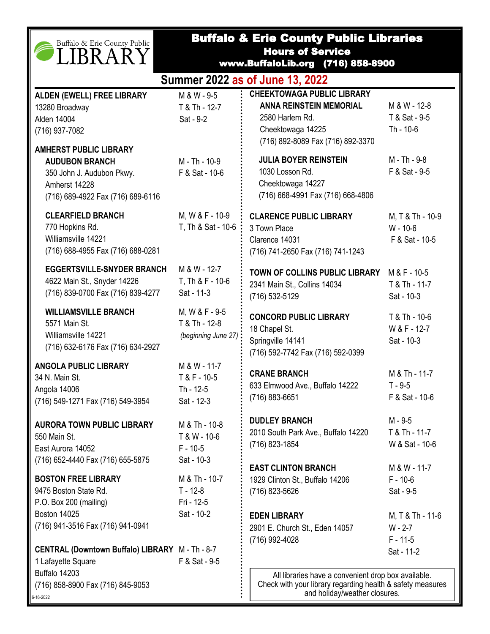|  | Buffalo & Erie County Public |  |
|--|------------------------------|--|
|  | LIBRARY                      |  |

6-16-2022

## Buffalo & Erie County Public Libraries Hours of Service

www.BuffaloLib.org (716) 858-8900

| Summer 2022 as of June 13, 2022 |               |                                   |               |  |  |
|---------------------------------|---------------|-----------------------------------|---------------|--|--|
| ALDEN (EWELL) FREE LIBRARY      | M & W - 9-5   | <b>CHEEKTOWAGA PUBLIC LIBRARY</b> |               |  |  |
| 13280 Broadway                  | T & Th - 12-7 | <b>ANNA REINSTEIN MEMORIAL</b>    | M & W - 12-8  |  |  |
| Alden 14004                     | Sat - 9-2     | 2580 Harlem Rd.                   | T & Sat - 9-5 |  |  |
| (716) 937-7082                  |               | Cheektowaga 14225                 | Th - 10-6     |  |  |

| (716) 937-7082                                                                                                                            |                                                           | Cheektowaga 14225                                                                                                                                 | Th - 10-6                                      |
|-------------------------------------------------------------------------------------------------------------------------------------------|-----------------------------------------------------------|---------------------------------------------------------------------------------------------------------------------------------------------------|------------------------------------------------|
| <b>AMHERST PUBLIC LIBRARY</b><br><b>AUDUBON BRANCH</b><br>350 John J. Audubon Pkwy.<br>Amherst 14228<br>(716) 689-4922 Fax (716) 689-6116 | M - Th - 10-9<br>F & Sat - 10-6                           | (716) 892-8089 Fax (716) 892-3370<br><b>JULIA BOYER REINSTEIN</b><br>1030 Losson Rd.<br>Cheektowaga 14227<br>(716) 668-4991 Fax (716) 668-4806    | M - Th - 9-8<br>F & Sat - 9-5                  |
| <b>CLEARFIELD BRANCH</b><br>770 Hopkins Rd.<br>Williamsville 14221<br>(716) 688-4955 Fax (716) 688-0281                                   | M, W & F - 10-9<br>T, Th & Sat - 10-6                     | <b>CLARENCE PUBLIC LIBRARY</b><br>3 Town Place<br>Clarence 14031<br>(716) 741-2650 Fax (716) 741-1243                                             | M, T & Th - 10-9<br>W - 10-6<br>F & Sat - 10-5 |
| <b>EGGERTSVILLE-SNYDER BRANCH</b><br>4622 Main St., Snyder 14226<br>(716) 839-0700 Fax (716) 839-4277                                     | M & W - 12-7<br>T, Th & F - 10-6<br>Sat - 11-3            | TOWN OF COLLINS PUBLIC LIBRARY<br>2341 Main St., Collins 14034<br>(716) 532-5129                                                                  | M & F - 10-5<br>T & Th - 11-7<br>Sat - 10-3    |
| <b>WILLIAMSVILLE BRANCH</b><br>5571 Main St.<br>Williamsville 14221<br>(716) 632-6176 Fax (716) 634-2927                                  | M, W & F - 9-5<br>T & Th - 12-8<br>(beginning June 27)    | <b>CONCORD PUBLIC LIBRARY</b><br>18 Chapel St.<br>Springville 14141<br>(716) 592-7742 Fax (716) 592-0399                                          | T & Th - 10-6<br>W & F - 12-7<br>Sat - 10-3    |
| <b>ANGOLA PUBLIC LIBRARY</b><br>34 N. Main St.<br>Angola 14006<br>(716) 549-1271 Fax (716) 549-3954                                       | M & W - 11-7<br>T & F - 10-5<br>Th - 12-5<br>Sat - 12-3   | <b>CRANE BRANCH</b><br>633 Elmwood Ave., Buffalo 14222<br>(716) 883-6651                                                                          | M & Th - 11-7<br>$T - 9 - 5$<br>F & Sat - 10-6 |
| <b>AURORA TOWN PUBLIC LIBRARY</b><br>550 Main St.<br>East Aurora 14052<br>(716) 652-4440 Fax (716) 655-5875                               | M & Th - 10-8<br>T & W - 10-6<br>$F - 10-5$<br>Sat - 10-3 | <b>DUDLEY BRANCH</b><br>2010 South Park Ave., Buffalo 14220<br>(716) 823-1854                                                                     | M - 9-5<br>T & Th - 11-7<br>W & Sat - 10-6     |
| <b>BOSTON FREE LIBRARY</b><br>9475 Boston State Rd.<br>P.O. Box 200 (mailing)                                                             | M & Th - 10-7<br>$T - 12 - 8$<br>Fri - 12-5               | <b>EAST CLINTON BRANCH</b><br>1929 Clinton St., Buffalo 14206<br>(716) 823-5626                                                                   | M & W - 11-7<br>$F - 10-6$<br>Sat - 9-5        |
| <b>Boston 14025</b><br>(716) 941-3516 Fax (716) 941-0941                                                                                  | Sat - 10-2                                                | <b>EDEN LIBRARY</b><br>2901 E. Church St., Eden 14057<br>(716) 992-4028                                                                           | M, T & Th - 11-6<br>$W - 2-7$<br>$F - 11 - 5$  |
| CENTRAL (Downtown Buffalo) LIBRARY M - Th - 8-7<br>1 Lafayette Square<br>Buffalo 14203<br>(716) 858-8900 Fax (716) 845-9053<br>16-2022    | F & Sat - 9-5                                             | All libraries have a convenient drop box available.<br>Check with your library regarding health & safety measure<br>and holiday/weather closures. | Sat - 11-2                                     |